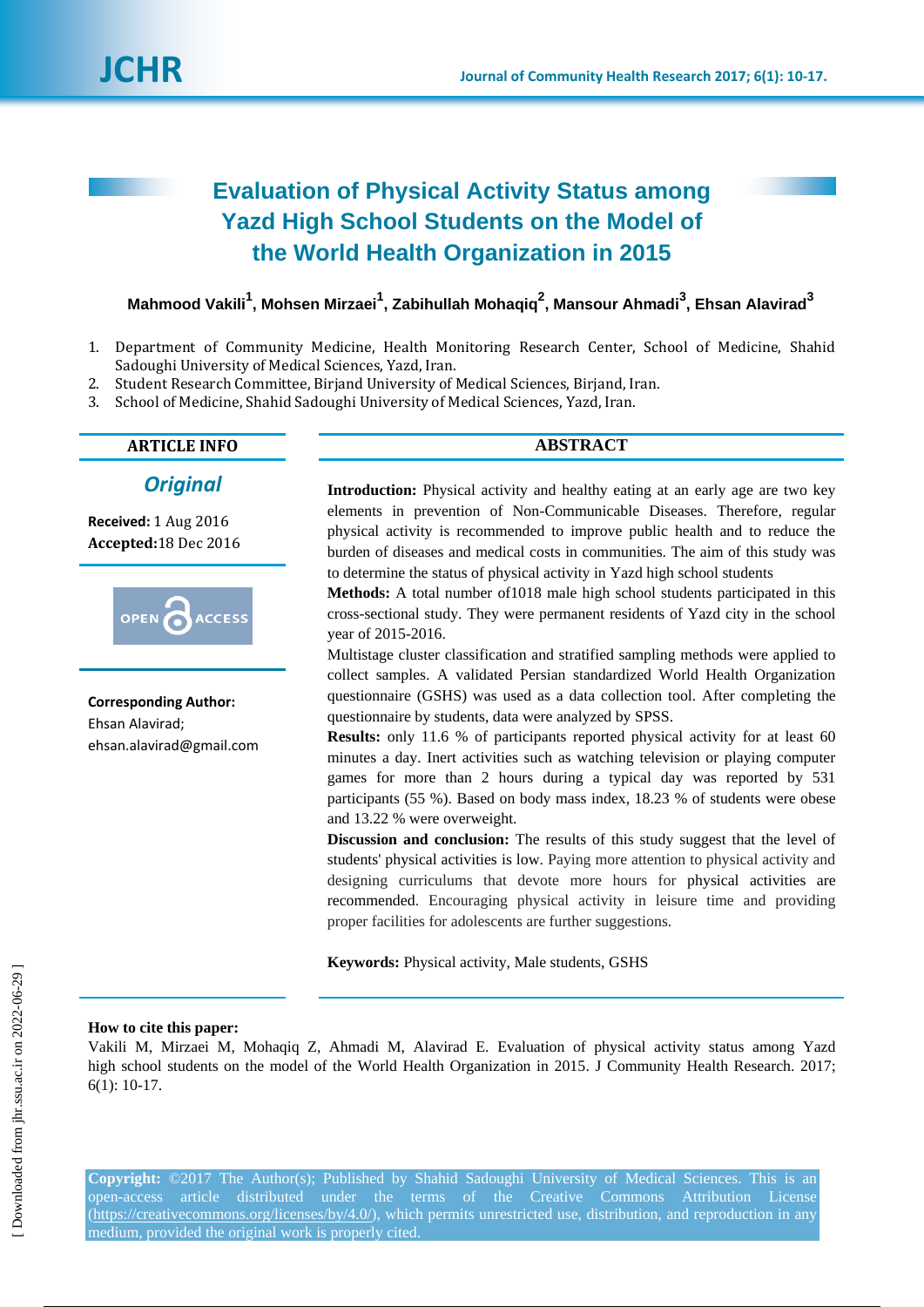# **Evaluation of Physical Activity Status among Yazd High School Students on the Model of the World Health Organization in 2015**

**Mahmood Vakili<sup>1</sup> , Mohsen Mirzaei<sup>1</sup> , Zabihullah Mohaqiq<sup>2</sup> , Mansour Ahmadi<sup>3</sup> , Ehsan Alavirad<sup>3</sup>**

- 1. Department of Community Medicine, Health Monitoring Research Center, School of Medicine, Shahid Sadoughi University of Medical Sciences, Yazd, Iran.
- 2. Student Research Committee, Birjand University of Medical Sciences, Birjand, Iran.
- 3. School of Medicine, Shahid Sadoughi University of Medical Sciences, Yazd, Iran.

# **ARTICLE INFO ABSTRACT**

# *Original*

**Received:** 1 Aug 2016 **Accepted:**18 Dec 2016



**Corresponding Author:** Ehsan Alavirad; ehsan.alavirad@gmail.com

Introduction: Physical activity and healthy eating at an early age are two key elements in prevention of Non-Communicable Diseases. Therefore, regular physical activity is recommended to improve public health and to reduce the burden of diseases and medical costs in communities. The aim of this study was to determine the status of physical activity in Yazd high school students

**Methods:** A total number of1018 male high school students participated in this cross-sectional study. They were permanent residents of Yazd city in the school year of 2015-2016.

Multistage cluster classification and stratified sampling methods were applied to collect samples. A validated Persian standardized World Health Organization questionnaire (GSHS) was used as a data collection tool. After completing the questionnaire by students, data were analyzed by SPSS.

**Results:** only 11.6 % of participants reported physical activity for at least 60 minutes a day. Inert activities such as watching television or playing computer games for more than 2 hours during a typical day was reported by 531 participants (55 %). Based on body mass index, 18.23 % of students were obese and 13.22 % were overweight.

**Discussion and conclusion:** The results of this study suggest that the level of students' physical activities is low. Paying more attention to physical activity and designing curriculums that devote more hours for physical activities are recommended. Encouraging physical activity in leisure time and providing proper facilities for adolescents are further suggestions.

**Keywords:** Physical activity, Male students, GSHS

#### **How to cite this paper:**

Vakili M, Mirzaei M, Mohaqiq Z, Ahmadi M, Alavirad E. Evaluation of physical activity status among Yazd high school students on the model of the World Health Organization in 2015. J Community Health Research. 2017; 6(1): 10-17.

**Copyright:** ©2017 The Author(s); Published by Shahid Sadoughi University of Medical Sciences. This is an open-access article distributed under the terms of the Creative Commons Attribution License (https://creativecommons.org/licenses/by/4.0/), which permits unrestricted use, distribution, and reproduction in any medium, provided the original work is properly cited.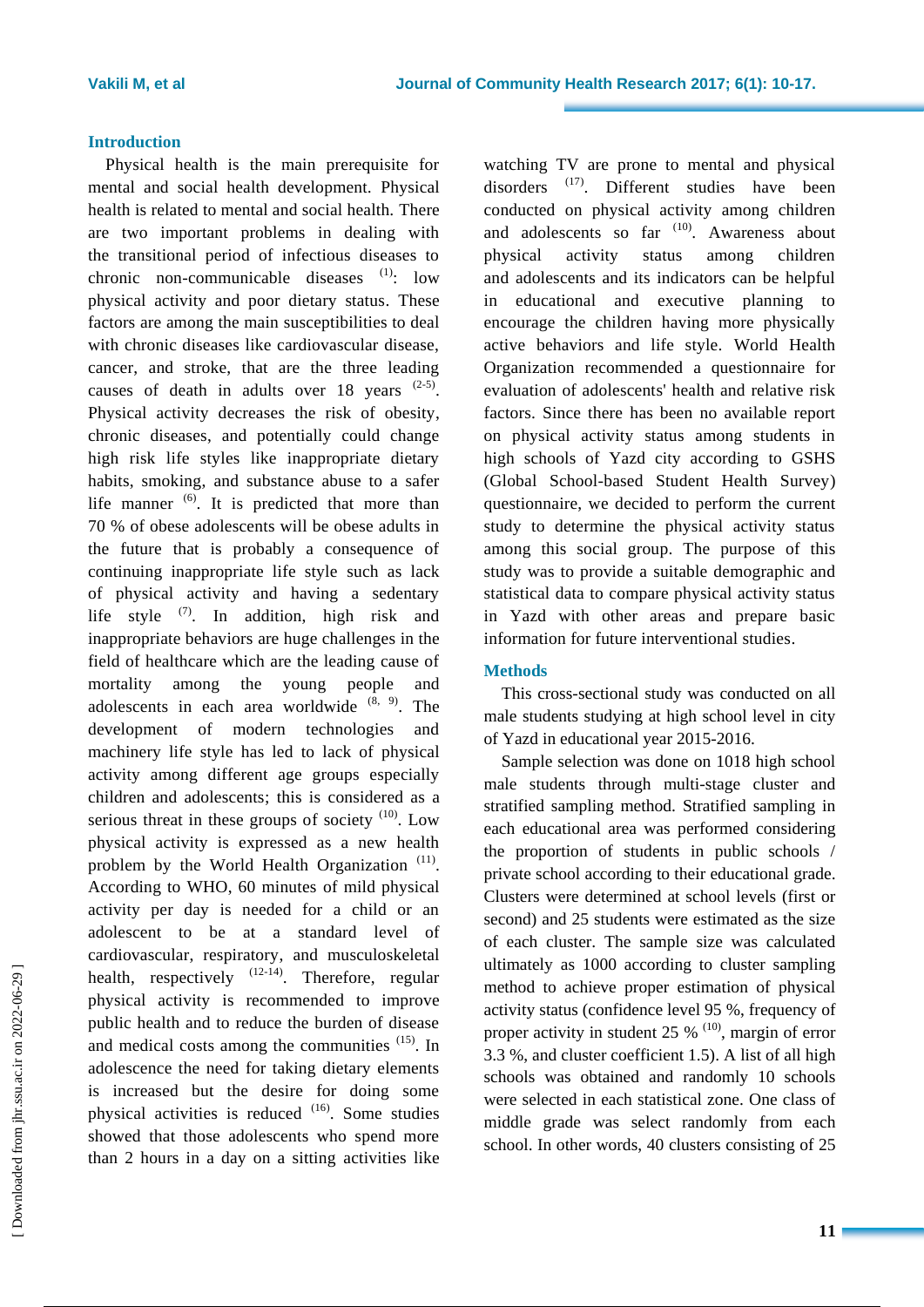#### **Introduction**

Physical health is the main prerequisite for mental and social health development. Physical health is related to mental and social health. There are two important problems in dealing with the transitional period of infectious diseases to chronic non-communicable diseases  $(1)$ : low physical activity and poor dietary status. These factors are among the main susceptibilities to deal with chronic diseases like cardiovascular disease, cancer, and stroke, that are the three leading causes of death in adults over 18 years  $(2-5)$ . Physical activity decreases the risk of obesity, chronic diseases, and potentially could change high risk life styles like inappropriate dietary habits, smoking, and substance abuse to a safer life manner  $(6)$ . It is predicted that more than 70 % of obese adolescents will be obese adults in the future that is probably a consequence of continuing inappropriate life style such as lack of physical activity and having a sedentary life style  $(7)$ . In addition, high risk and inappropriate behaviors are huge challenges in the field of healthcare which are the leading cause of mortality among the young people and adolescents in each area worldwide  $(8, 9)$ . The development of modern technologies and machinery life style has led to lack of physical activity among different age groups especially children and adolescents; this is considered as a serious threat in these groups of society  $(10)$ . Low physical activity is expressed as a new health problem by the World Health Organization  $(11)$ . According to WHO, 60 minutes of mild physical activity per day is needed for a child or an adolescent to be at a standard level of cardiovascular, respiratory, and musculoskeletal health, respectively  $(12-14)$ . Therefore, regular physical activity is recommended to improve public health and to reduce the burden of disease and medical costs among the communities <sup>(15)</sup>. In adolescence the need for taking dietary elements is increased but the desire for doing some physical activities is reduced <sup>(16)</sup>. Some studies showed that those adolescents who spend more than 2 hours in a day on a sitting activities like

watching TV are prone to mental and physical disorders <sup>(17)</sup>. Different studies have been conducted on physical activity among children and adolescents so far  $(10)$ . Awareness about physical activity status among children and adolescents and its indicators can be helpful in educational and executive planning to encourage the children having more physically active behaviors and life style. World Health Organization recommended a questionnaire for evaluation of adolescents' health and relative risk factors. Since there has been no available report on physical activity status among students in high schools of Yazd city according to GSHS (Global School-based Student Health Survey) questionnaire, we decided to perform the current study to determine the physical activity status among this social group. The purpose of this study was to provide a suitable demographic and statistical data to compare physical activity status in Yazd with other areas and prepare basic information for future interventional studies.

### **Methods**

This cross-sectional study was conducted on all male students studying at high school level in city of Yazd in educational year 2015-2016.

Sample selection was done on 1018 high school male students through multi-stage cluster and stratified sampling method. Stratified sampling in each educational area was performed considering the proportion of students in public schools / private school according to their educational grade. Clusters were determined at school levels (first or second) and 25 students were estimated as the size of each cluster. The sample size was calculated ultimately as 1000 according to cluster sampling method to achieve proper estimation of physical activity status (confidence level 95 %, frequency of proper activity in student 25  $%$  <sup>(10)</sup>, margin of error 3.3 %, and cluster coefficient 1.5). A list of all high schools was obtained and randomly 10 schools were selected in each statistical zone. One class of middle grade was select randomly from each school. In other words, 40 clusters consisting of 25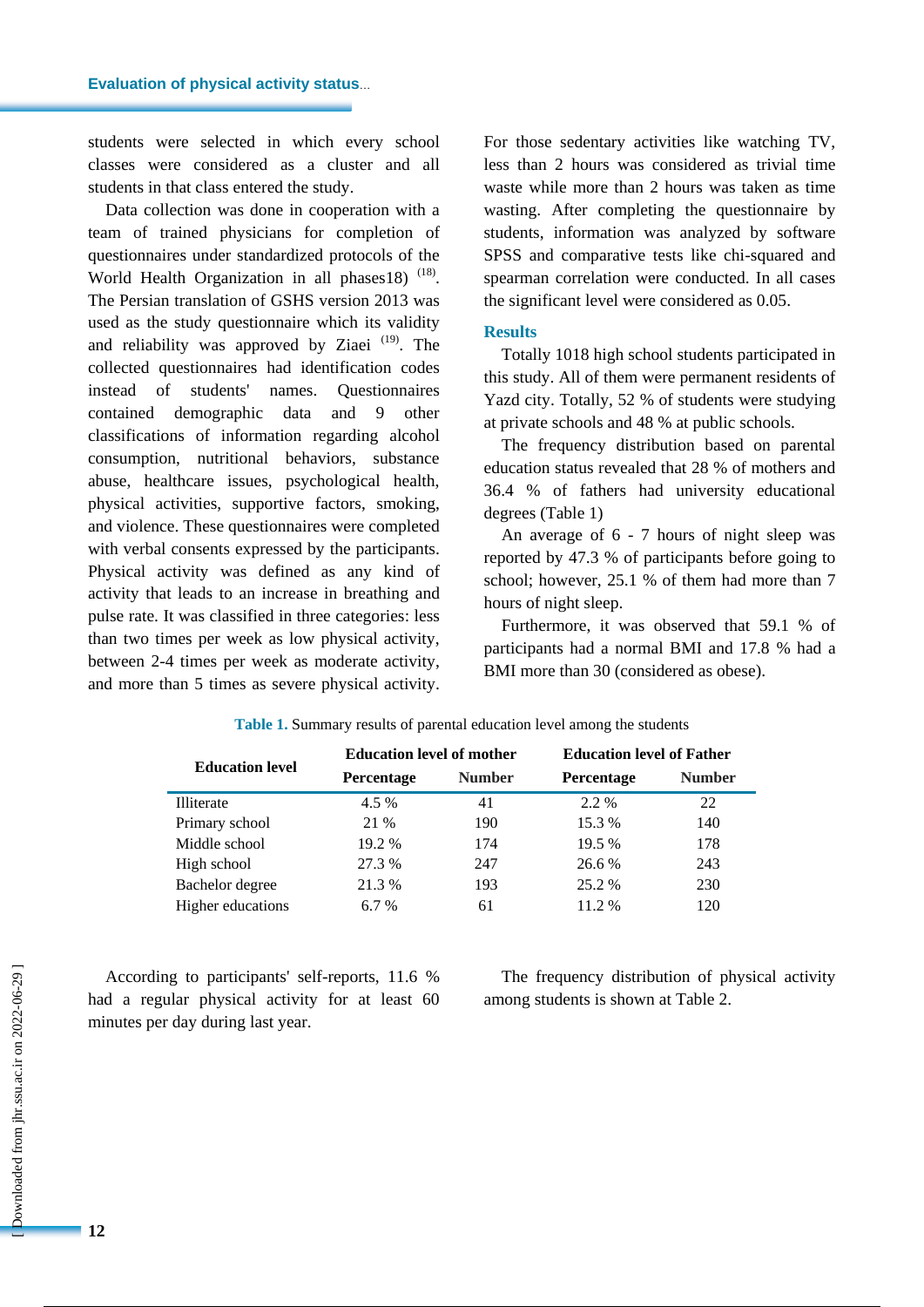students were selected in which every school classes were considered as a cluster and all students in that class entered the study.

Data collection was done in cooperation with a team of trained physicians for completion of questionnaires under standardized protocols of the World Health Organization in all phases 18)  $(18)$ . The Persian translation of GSHS version 2013 was used as the study questionnaire which its validity and reliability was approved by Ziaei<sup>(19)</sup>. The collected questionnaires had identification codes instead of students' names. Questionnaires contained demographic data and 9 other classifications of information regarding alcohol consumption, nutritional behaviors, substance abuse, healthcare issues, psychological health, physical activities, supportive factors, smoking, and violence. These questionnaires were completed with verbal consents expressed by the participants. Physical activity was defined as any kind of activity that leads to an increase in breathing and pulse rate. It was classified in three categories: less than two times per week as low physical activity, between 2-4 times per week as moderate activity, and more than 5 times as severe physical activity.

For those sedentary activities like watching TV, less than 2 hours was considered as trivial time waste while more than 2 hours was taken as time wasting. After completing the questionnaire by students, information was analyzed by software SPSS and comparative tests like chi-squared and spearman correlation were conducted. In all cases the significant level were considered as 0.05.

#### **Results**

Totally 1018 high school students participated in this study. All of them were permanent residents of Yazd city. Totally, 52 % of students were studying at private schools and 48 % at public schools.

The frequency distribution based on parental education status revealed that 28 % of mothers and 36.4 % of fathers had university educational degrees (Table 1)

An average of 6 - 7 hours of night sleep was reported by 47.3 % of participants before going to school; however, 25.1 % of them had more than 7 hours of night sleep.

Furthermore, it was observed that 59.1 % of participants had a normal BMI and 17.8 % had a BMI more than 30 (considered as obese).

| <b>Education level</b>   | <b>Education level of mother</b> |               | <b>Education level of Father</b> |               |  |
|--------------------------|----------------------------------|---------------|----------------------------------|---------------|--|
|                          | Percentage                       | <b>Number</b> | Percentage                       | <b>Number</b> |  |
| Illiterate               | 4.5 %                            | 41            | 2.2 %                            | 22            |  |
| Primary school           | 21 %                             | 190           | 15.3 %                           | 140           |  |
| Middle school            | 19.2 %                           | 174           | 19.5 %                           | 178           |  |
| High school              | 27.3 %                           | 247           | 26.6 %                           | 243           |  |
| Bachelor degree          | 21.3 %                           | 193           | 25.2 %                           | 230           |  |
| <b>Higher educations</b> | $6.7\%$                          | 61            | 11.2 %                           | 120           |  |

**Table 1.** Summary results of parental education level among the students

According to participants' self-reports, 11.6 % had a regular physical activity for at least 60 minutes per day during last year.

The frequency distribution of physical activity among students is shown at Table 2.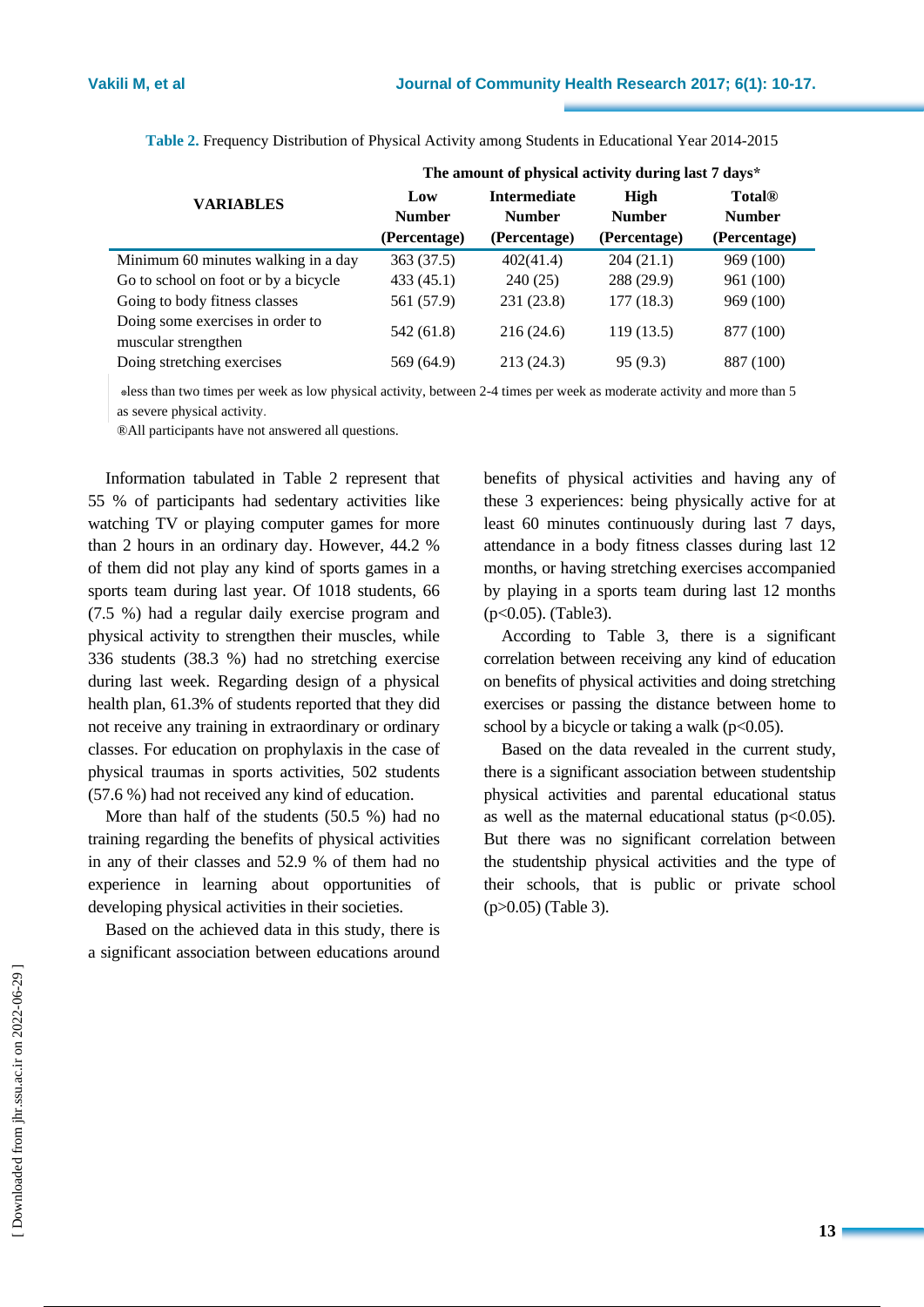|                                                         | The amount of physical activity during last 7 days* |                               |                               |                                                |  |  |
|---------------------------------------------------------|-----------------------------------------------------|-------------------------------|-------------------------------|------------------------------------------------|--|--|
| <b>VARIABLES</b>                                        | Low                                                 | <b>Intermediate</b>           | <b>High</b>                   | <b>Total®</b><br><b>Number</b><br>(Percentage) |  |  |
|                                                         | <b>Number</b><br>(Percentage)                       | <b>Number</b><br>(Percentage) | <b>Number</b><br>(Percentage) |                                                |  |  |
| Minimum 60 minutes walking in a day                     | 363 (37.5)                                          | 402(41.4)                     | 204(21.1)                     | 969 (100)                                      |  |  |
| Go to school on foot or by a bicycle                    | 433(45.1)                                           | 240(25)                       | 288 (29.9)                    | 961 (100)                                      |  |  |
| Going to body fitness classes                           | 561 (57.9)                                          | 231(23.8)                     | 177(18.3)                     | 969 (100)                                      |  |  |
| Doing some exercises in order to<br>muscular strengthen | 542 (61.8)                                          | 216(24.6)                     | 119(13.5)                     | 877 (100)                                      |  |  |
| Doing stretching exercises                              | 569 (64.9)                                          | 213(24.3)                     | 95(9.3)                       | 887 (100)                                      |  |  |

**Table 2.** Frequency Distribution of Physical Activity among Students in Educational Year 2014-2015

 \*less than two times per week as low physical activity, between 2-4 times per week as moderate activity and more than 5 as severe physical activity.

®All participants have not answered all questions.

Information tabulated in Table 2 represent that 55 % of participants had sedentary activities like watching TV or playing computer games for more than 2 hours in an ordinary day. However, 44.2 % of them did not play any kind of sports games in a sports team during last year. Of 1018 students, 66 (7.5 %) had a regular daily exercise program and physical activity to strengthen their muscles, while 336 students (38.3 %) had no stretching exercise during last week. Regarding design of a physical health plan, 61.3% of students reported that they did not receive any training in extraordinary or ordinary classes. For education on prophylaxis in the case of physical traumas in sports activities, 502 students (57.6 %) had not received any kind of education.

More than half of the students (50.5 %) had no training regarding the benefits of physical activities in any of their classes and 52.9 % of them had no experience in learning about opportunities of developing physical activities in their societies.

Based on the achieved data in this study, there is a significant association between educations around benefits of physical activities and having any of these 3 experiences: being physically active for at least 60 minutes continuously during last 7 days, attendance in a body fitness classes during last 12 months, or having stretching exercises accompanied by playing in a sports team during last 12 months (p<0.05). (Table3).

According to Table 3, there is a significant correlation between receiving any kind of education on benefits of physical activities and doing stretching exercises or passing the distance between home to school by a bicycle or taking a walk ( $p<0.05$ ).

Based on the data revealed in the current study, there is a significant association between studentship physical activities and parental educational status as well as the maternal educational status  $(p<0.05)$ . But there was no significant correlation between the studentship physical activities and the type of their schools, that is public or private school (p>0.05) (Table 3).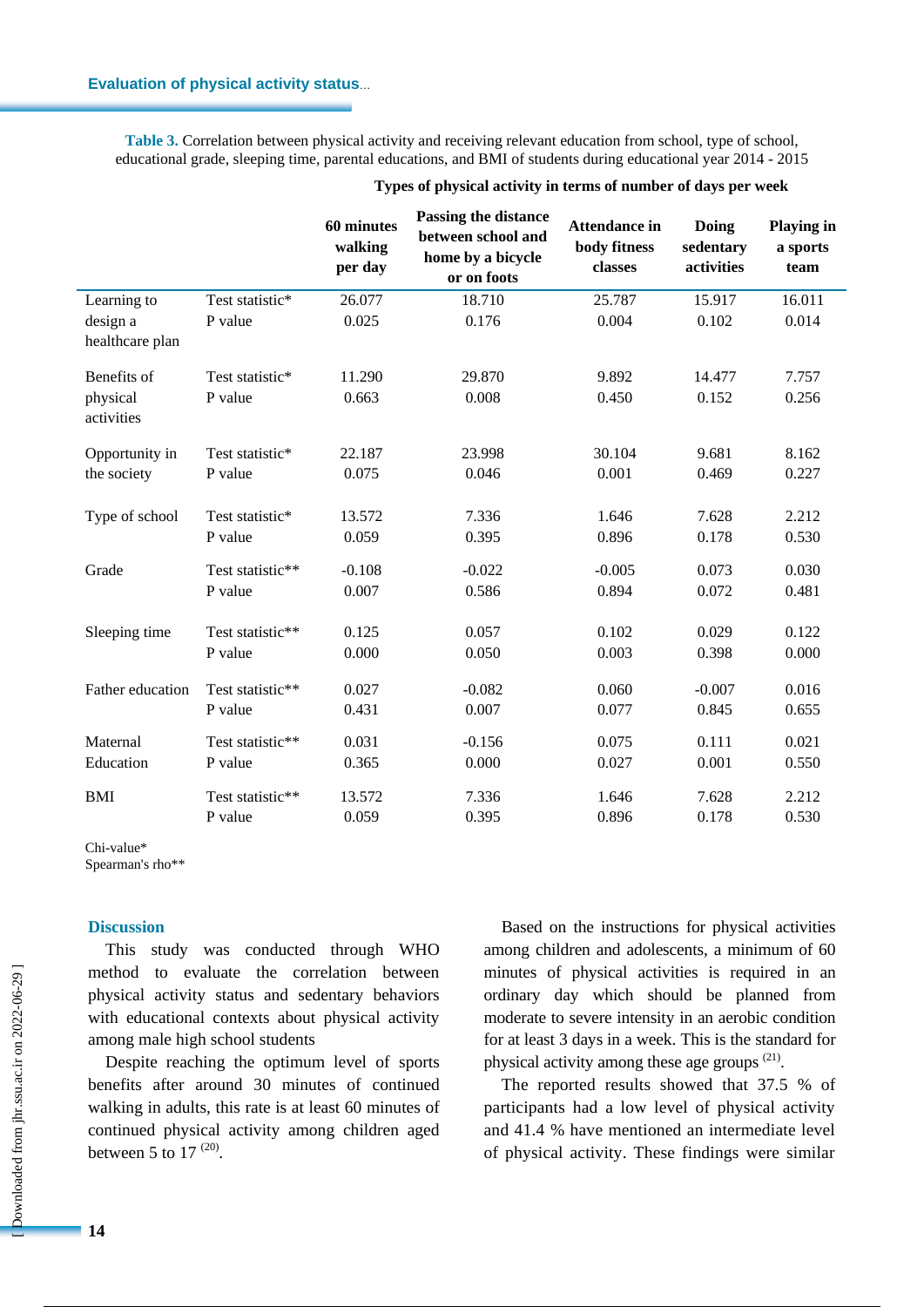#### **Evaluation of physical activity status**…

**Table 3.** Correlation between physical activity and receiving relevant education from school, type of school, educational grade, sleeping time, parental educations, and BMI of students during educational year 2014 - 2015

|                             |                  | 60 minutes<br>walking<br>per day | <b>Passing the distance</b><br>between school and<br>home by a bicycle<br>or on foots | <b>Attendance in</b><br>body fitness<br>classes | Doing<br>sedentary<br>activities | <b>Playing in</b><br>a sports<br>team |
|-----------------------------|------------------|----------------------------------|---------------------------------------------------------------------------------------|-------------------------------------------------|----------------------------------|---------------------------------------|
| Learning to                 | Test statistic*  | 26.077                           | 18.710                                                                                | 25.787                                          | 15.917                           | 16.011                                |
| design a<br>healthcare plan | P value          | 0.025                            | 0.176                                                                                 | 0.004                                           | 0.102                            | 0.014                                 |
| Benefits of                 | Test statistic*  | 11.290                           | 29.870                                                                                | 9.892                                           | 14.477                           | 7.757                                 |
| physical<br>activities      | P value          | 0.663                            | 0.008                                                                                 | 0.450                                           | 0.152                            | 0.256                                 |
| Opportunity in              | Test statistic*  | 22.187                           | 23.998                                                                                | 30.104                                          | 9.681                            | 8.162                                 |
| the society                 | P value          | 0.075                            | 0.046                                                                                 | 0.001                                           | 0.469                            | 0.227                                 |
| Type of school              | Test statistic*  | 13.572                           | 7.336                                                                                 | 1.646                                           | 7.628                            | 2.212                                 |
|                             | P value          | 0.059                            | 0.395                                                                                 | 0.896                                           | 0.178                            | 0.530                                 |
| Grade                       | Test statistic** | $-0.108$                         | $-0.022$                                                                              | $-0.005$                                        | 0.073                            | 0.030                                 |
|                             | P value          | 0.007                            | 0.586                                                                                 | 0.894                                           | 0.072                            | 0.481                                 |
| Sleeping time               | Test statistic** | 0.125                            | 0.057                                                                                 | 0.102                                           | 0.029                            | 0.122                                 |
|                             | P value          | 0.000                            | 0.050                                                                                 | 0.003                                           | 0.398                            | 0.000                                 |
| Father education            | Test statistic** | 0.027                            | $-0.082$                                                                              | 0.060                                           | $-0.007$                         | 0.016                                 |
|                             | P value          | 0.431                            | 0.007                                                                                 | 0.077                                           | 0.845                            | 0.655                                 |
| Maternal                    | Test statistic** | 0.031                            | $-0.156$                                                                              | 0.075                                           | 0.111                            | 0.021                                 |
| Education                   | P value          | 0.365                            | 0.000                                                                                 | 0.027                                           | 0.001                            | 0.550                                 |
| BMI                         | Test statistic** | 13.572                           | 7.336                                                                                 | 1.646                                           | 7.628                            | 2.212                                 |
|                             | P value          | 0.059                            | 0.395                                                                                 | 0.896                                           | 0.178                            | 0.530                                 |

#### **Types of physical activity in terms of number of days per week**

Chi-value\*

Spearman's rho\*\*

### **Discussion**

This study was conducted through WHO method to evaluate the correlation between physical activity status and sedentary behaviors with educational contexts about physical activity among male high school students

Despite reaching the optimum level of sports benefits after around 30 minutes of continued walking in adults, this rate is at least 60 minutes of continued physical activity among children aged between 5 to 17 $^{(20)}$ .

Based on the instructions for physical activities among children and adolescents, a minimum of 60 minutes of physical activities is required in an ordinary day which should be planned from moderate to severe intensity in an aerobic condition for at least 3 days in a week. This is the standard for physical activity among these age groups <sup>(21)</sup>.

The reported results showed that 37.5 % of participants had a low level of physical activity and 41.4 % have mentioned an intermediate level of physical activity. These findings were similar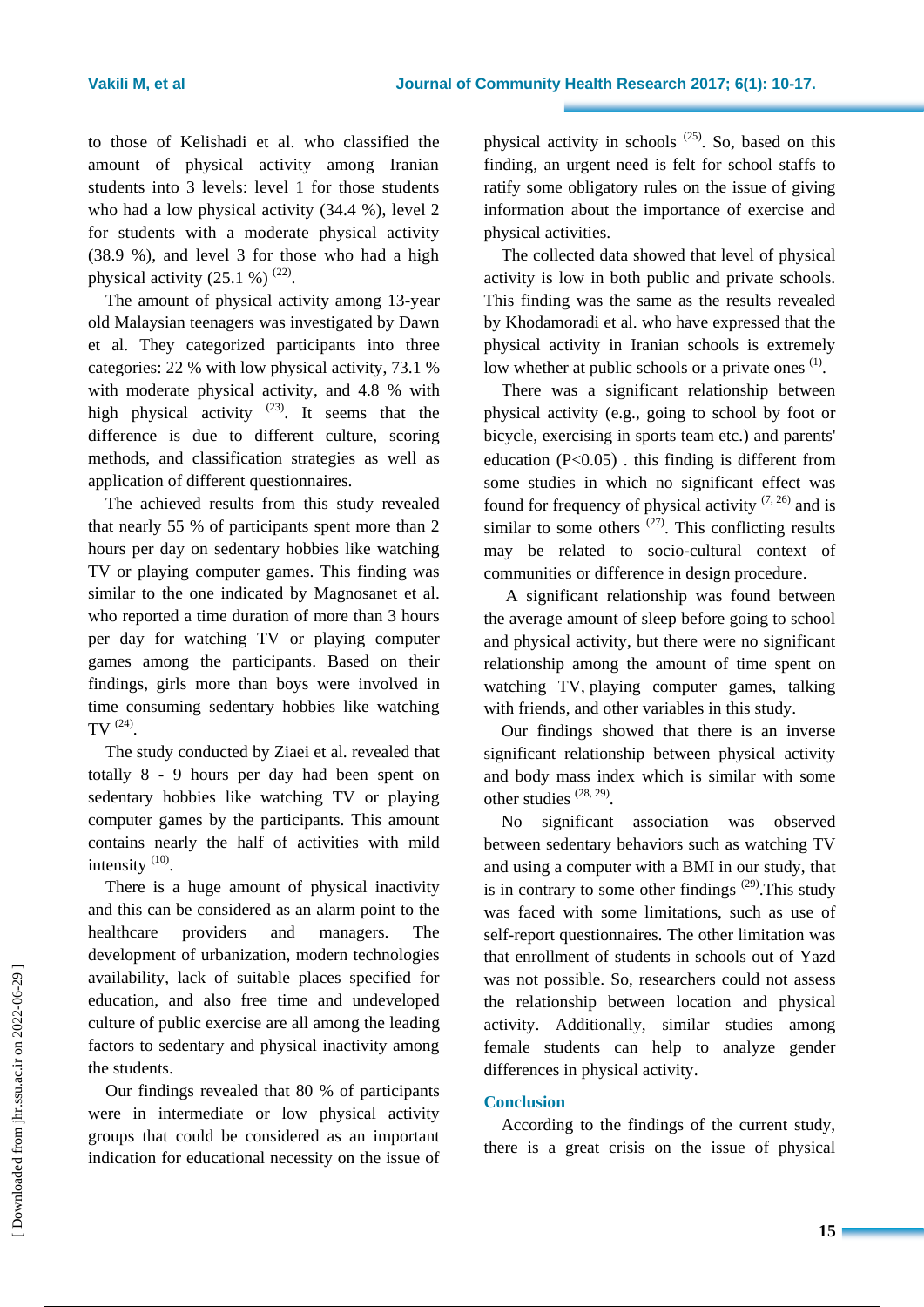to those of Kelishadi et al. who classified the amount of physical activity among Iranian students into 3 levels: level 1 for those students who had a low physical activity (34.4 %), level 2 for students with a moderate physical activity (38.9 %), and level 3 for those who had a high physical activity  $(25.1 \%)^{(22)}$ .

The amount of physical activity among 13-year old Malaysian teenagers was investigated by Dawn et al. They categorized participants into three categories: 22 % with low physical activity, 73.1 % with moderate physical activity, and 4.8 % with high physical activity  $(23)$ . It seems that the difference is due to different culture, scoring methods, and classification strategies as well as application of different questionnaires.

The achieved results from this study revealed that nearly 55 % of participants spent more than 2 hours per day on sedentary hobbies like watching TV or playing computer games. This finding was similar to the one indicated by Magnosanet et al. who reported a time duration of more than 3 hours per day for watching TV or playing computer games among the participants. Based on their findings, girls more than boys were involved in time consuming sedentary hobbies like watching TV  $(24)$ .

The study conducted by Ziaei et al. revealed that totally 8 - 9 hours per day had been spent on sedentary hobbies like watching TV or playing computer games by the participants. This amount contains nearly the half of activities with mild intensity  $(10)$ .

There is a huge amount of physical inactivity and this can be considered as an alarm point to the healthcare providers and managers. The development of urbanization, modern technologies availability, lack of suitable places specified for education, and also free time and undeveloped culture of public exercise are all among the leading factors to sedentary and physical inactivity among the students.

Our findings revealed that 80 % of participants were in intermediate or low physical activity groups that could be considered as an important indication for educational necessity on the issue of

physical activity in schools  $(25)$ . So, based on this finding, an urgent need is felt for school staffs to ratify some obligatory rules on the issue of giving information about the importance of exercise and physical activities.

The collected data showed that level of physical activity is low in both public and private schools. This finding was the same as the results revealed by Khodamoradi et al. who have expressed that the physical activity in Iranian schools is extremely low whether at public schools or a private ones  $(1)$ .

There was a significant relationship between physical activity (e.g., going to school by foot or bicycle, exercising in sports team etc.) and parents' education  $(P<0.05)$ . this finding is different from some studies in which no significant effect was found for frequency of physical activity  $(7, 26)$  and is similar to some others  $(27)$ . This conflicting results may be related to socio-cultural context of communities or difference in design procedure.

A significant relationship was found between the average amount of sleep before going to school and physical activity, but there were no significant relationship among the amount of time spent on watching TV, playing computer games, talking with friends, and other variables in this study.

Our findings showed that there is an inverse significant relationship between physical activity and body mass index which is similar with some other studies  $(28, 29)$ .

No significant association was observed between sedentary behaviors such as watching TV and using a computer with a BMI in our study, that is in contrary to some other findings  $(29)$ . This study was faced with some limitations, such as use of self-report questionnaires. The other limitation was that enrollment of students in schools out of Yazd was not possible. So, researchers could not assess the relationship between location and physical activity. Additionally, similar studies among female students can help to analyze gender differences in physical activity.

### **Conclusion**

According to the findings of the current study, there is a great crisis on the issue of physical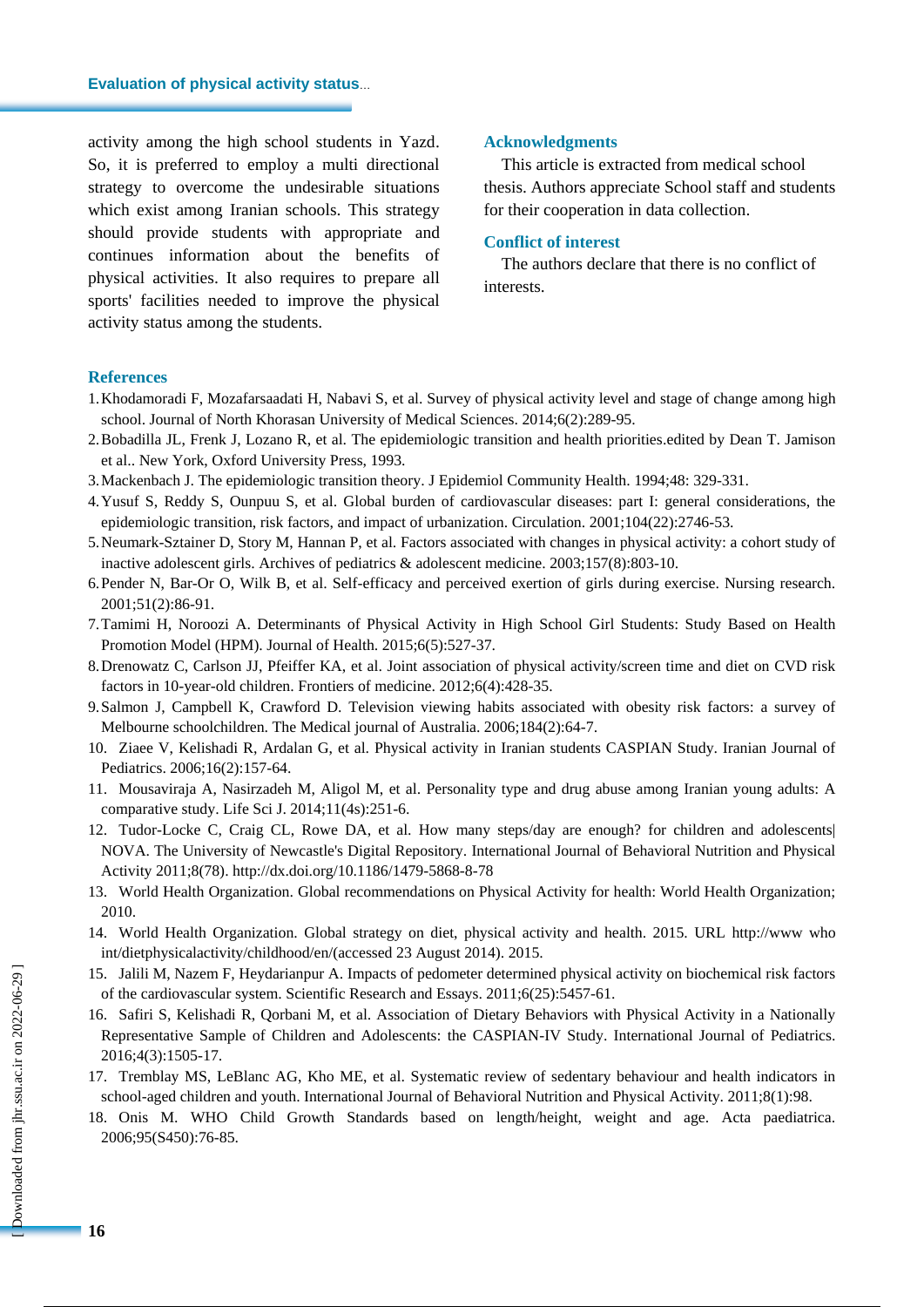activity among the high school students in Yazd. So, it is preferred to employ a multi directional strategy to overcome the undesirable situations which exist among Iranian schools. This strategy should provide students with appropriate and continues information about the benefits of physical activities. It also requires to prepare all sports' facilities needed to improve the physical activity status among the students.

#### **Acknowledgments**

This article is extracted from medical school thesis. Authors appreciate School staff and students for their cooperation in data collection.

### **Conflict of interest**

The authors declare that there is no conflict of interests.

#### **References**

- 1.Khodamoradi F, Mozafarsaadati H, Nabavi S, et al. Survey of physical activity level and stage of change among high school. Journal of North Khorasan University of Medical Sciences. 2014;6(2):289-95.
- 2.Bobadilla JL, Frenk J, Lozano R, et al. The epidemiologic transition and health priorities.edited by Dean T. Jamison et al.. New York, Oxford University Press, 1993.
- 3.Mackenbach J. The epidemiologic transition theory. J Epidemiol Community Health. 1994;48: 329-331.
- 4.Yusuf S, Reddy S, Ounpuu S, et al. Global burden of cardiovascular diseases: part I: general considerations, the epidemiologic transition, risk factors, and impact of urbanization. Circulation. 2001;104(22):2746-53.
- 5.Neumark-Sztainer D, Story M, Hannan P, et al. Factors associated with changes in physical activity: a cohort study of inactive adolescent girls. Archives of pediatrics & adolescent medicine. 2003;157(8):803-10.
- 6.Pender N, Bar-Or O, Wilk B, et al. Self-efficacy and perceived exertion of girls during exercise. Nursing research. 2001;51(2):86-91.
- 7.Tamimi H, Noroozi A. Determinants of Physical Activity in High School Girl Students: Study Based on Health Promotion Model (HPM). Journal of Health. 2015;6(5):527-37.
- 8.Drenowatz C, Carlson JJ, Pfeiffer KA, et al. Joint association of physical activity/screen time and diet on CVD risk factors in 10-year-old children. Frontiers of medicine. 2012;6(4):428-35.
- 9.Salmon J, Campbell K, Crawford D. Television viewing habits associated with obesity risk factors: a survey of Melbourne schoolchildren. The Medical journal of Australia. 2006;184(2):64-7.
- 10. Ziaee V, Kelishadi R, Ardalan G, et al. Physical activity in Iranian students CASPIAN Study. Iranian Journal of Pediatrics. 2006;16(2):157-64.
- 11. Mousaviraja A, Nasirzadeh M, Aligol M, et al. Personality type and drug abuse among Iranian young adults: A comparative study. Life Sci J. 2014;11(4s):251-6.
- 12. Tudor-Locke C, Craig CL, Rowe DA, et al. How many steps/day are enough? for children and adolescents| NOVA. The University of Newcastle's Digital Repository. International Journal of Behavioral Nutrition and Physical Activity 2011;8(78). http://dx.doi.org/10.1186/1479-5868-8-78
- 13. World Health Organization. Global recommendations on Physical Activity for health: World Health Organization; 2010.
- 14. World Health Organization. Global strategy on diet, physical activity and health. 2015. URL [http://www](http://www/) who int/dietphysicalactivity/childhood/en/(accessed 23 August 2014). 2015.
- 15. Jalili M, Nazem F, Heydarianpur A. Impacts of pedometer determined physical activity on biochemical risk factors of the cardiovascular system. Scientific Research and Essays. 2011;6(25):5457-61.
- 16. Safiri S, Kelishadi R, Qorbani M, et al. Association of Dietary Behaviors with Physical Activity in a Nationally Representative Sample of Children and Adolescents: the CASPIAN-IV Study. International Journal of Pediatrics. 2016;4(3):1505-17.
- 17. Tremblay MS, LeBlanc AG, Kho ME, et al. Systematic review of sedentary behaviour and health indicators in school-aged children and youth. International Journal of Behavioral Nutrition and Physical Activity. 2011;8(1):98.
- 18. Onis M. WHO Child Growth Standards based on length/height, weight and age. Acta paediatrica. 2006;95(S450):76-85.